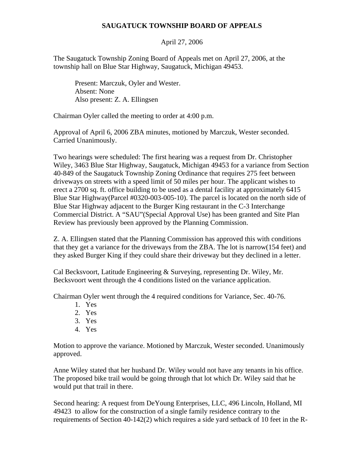## **SAUGATUCK TOWNSHIP BOARD OF APPEALS**

## April 27, 2006

The Saugatuck Township Zoning Board of Appeals met on April 27, 2006, at the township hall on Blue Star Highway, Saugatuck, Michigan 49453.

 Present: Marczuk, Oyler and Wester. Absent: None Also present: Z. A. Ellingsen

Chairman Oyler called the meeting to order at 4:00 p.m.

Approval of April 6, 2006 ZBA minutes, motioned by Marczuk, Wester seconded. Carried Unanimously.

Two hearings were scheduled: The first hearing was a request from Dr. Christopher Wiley, 3463 Blue Star Highway, Saugatuck, Michigan 49453 for a variance from Section 40-849 of the Saugatuck Township Zoning Ordinance that requires 275 feet between driveways on streets with a speed limit of 50 miles per hour. The applicant wishes to erect a 2700 sq. ft. office building to be used as a dental facility at approximately 6415 Blue Star Highway(Parcel #0320-003-005-10). The parcel is located on the north side of Blue Star Highway adjacent to the Burger King restaurant in the C-3 Interchange Commercial District. A "SAU"(Special Approval Use) has been granted and Site Plan Review has previously been approved by the Planning Commission.

Z. A. Ellingsen stated that the Planning Commission has approved this with conditions that they get a variance for the driveways from the ZBA. The lot is narrow(154 feet) and they asked Burger King if they could share their driveway but they declined in a letter.

Cal Becksvoort, Latitude Engineering & Surveying, representing Dr. Wiley, Mr. Becksvoort went through the 4 conditions listed on the variance application.

Chairman Oyler went through the 4 required conditions for Variance, Sec. 40-76.

- 1. Yes
- 2. Yes
- 3. Yes
- 4. Yes

Motion to approve the variance. Motioned by Marczuk, Wester seconded. Unanimously approved.

Anne Wiley stated that her husband Dr. Wiley would not have any tenants in his office. The proposed bike trail would be going through that lot which Dr. Wiley said that he would put that trail in there.

Second hearing: A request from DeYoung Enterprises, LLC, 496 Lincoln, Holland, MI 49423 to allow for the construction of a single family residence contrary to the requirements of Section 40-142(2) which requires a side yard setback of 10 feet in the R-